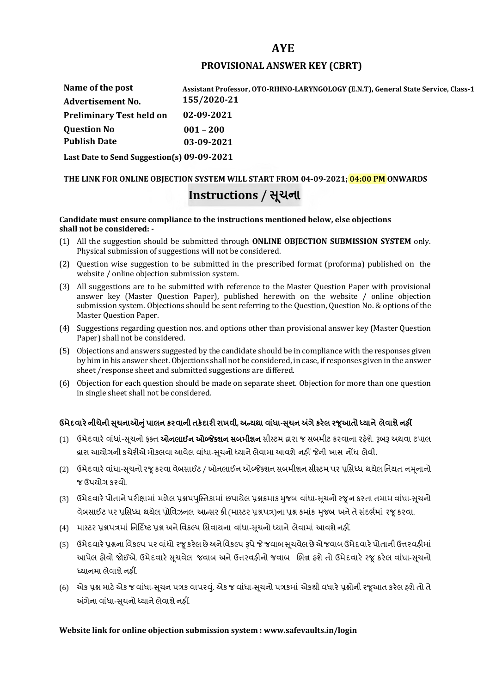## **AYE**

### **PROVISIONAL ANSWER KEY (CBRT)**

| Name of the post                | Assistant Professor, OTO-RHINO-LARYNGOLOGY (E.N.T), General State Service, Class-1 |  |
|---------------------------------|------------------------------------------------------------------------------------|--|
| <b>Advertisement No.</b>        | 155/2020-21                                                                        |  |
| <b>Preliminary Test held on</b> | 02-09-2021                                                                         |  |
| <b>Question No</b>              | $001 - 200$                                                                        |  |
| <b>Publish Date</b>             | 03-09-2021                                                                         |  |
|                                 |                                                                                    |  |

**Last Date to Send Suggestion(s) 09-09-2021**

# **THE LINK FOR ONLINE OBJECTION SYSTEM WILL START FROM 04-09-2021; 04:00 PM ONWARDS Instructions / Ʌચના ૂ**

#### **Candidate must ensure compliance to the instructions mentioned below, else objections shall not be considered: -**

- (1) All the suggestion should be submitted through **ONLINE OBJECTION SUBMISSION SYSTEM** only. Physical submission of suggestions will not be considered.
- (2) Question wise suggestion to be submitted in the prescribed format (proforma) published on the website / online objection submission system.
- (3) All suggestions are to be submitted with reference to the Master Question Paper with provisional answer key (Master Question Paper), published herewith on the website / online objection submission system. Objections should be sent referring to the Question, Question No. & options of the Master Question Paper.
- (4) Suggestions regarding question nos. and options other than provisional answer key (Master Question Paper) shall not be considered.
- (5) Objections and answers suggested by the candidate should be in compliance with the responses given by him in his answer sheet. Objections shall not be considered, in case, if responses given in the answer sheet /response sheet and submitted suggestions are differed.
- (6) Objection for each question should be made on separate sheet. Objection for more than one question in single sheet shall not be considered.

## **ઉમેદવાર°નીચેની Ʌ ૂચનાઓȵુંપાલન કરવાની તક°દાર રાખવી, અƛયથા વા ંધા-Ʌ ૂચન Ӕગેકર°લ રȩૂઆતો ƚયાને લેવાશેનહӄ**

- (1) ઉમેદવારે વાંધાં-સુચનો ફક્ત **ઓનલાઈન ઓબ્જેક્શન સબમીશન** સીસ્ટમ હ્રારા જ સબમીટ કરવાના રહેશે. રૂબરૂ અથવા ટપાલ હ્રારા આયોગની કચેરીએ મોકલવા આવેલ વાંધા-સૂચનો ધ્યાને લેવામા આવશે નહીં જેની ખાસ નોંધ લેવી.
- (2) ઉમેદવારે વાંધા-સચનો રજ કરવા વેબસાઈટ / ઓનલાઈન ઓબ્જેક્શન સબમીશન સીસ્ટમ પર પ્રસિધ્ધ થયેલ નિયત નમનાનો જ ઉપયોગ કરવો.
- (3) ઉમેદવારે પોતાને પરીક્ષામાં મળેલ પ્રશ્નપપુસ્તિકામાં છપાયેલ પ્રશ્નક્રમાક મુજબ વાંધા-સૂચનો રજૂન કરતા તમામ વાંધા-સૂચનો વેબસાઈટ પર પ્રસિધ્ધ થયેલ પ્રોવિઝનલ આન્સર કી (માસ્ટર પ્રશ્નપત્ર)ના પ્રશ્ન ક્રમાંક મજબ અને તે સંદર્ભમાં ૨જ કરવા.
- (4) માસ્ટર પ્રશ્નપત્રમાં નિર્દિષ્ટ પ્રશ્ન અને વિકલ્પ સિવાયના વાંધા-સચનો ધ્યાને લેવામાં આવશે નહીં.
- (5) ઉમેદવારે પ્રશ્નના વિકલ્પ પર વાંધો રજૂ કરેલ છે અને વિકલ્પ રૂપે જે જવાબ સુચવેલ છે એ જવાબ ઉમેદવારે પોતાની ઉત્તરવહીમાં આપેલ હોવો જોઈએ. ઉમેદવારે સૂચવેલ જવાબ અને ઉત્તરવહીનો જવાબ ભિન્ન હશે તો ઉમેદવારે રજૂ કરેલ વાંધા-સૂચનો ધ્યાનમા લેવાશે નહીં.
- (6) એક પ્રશ્ન માટે એક જ વાંધા-સૂચન પત્રક વાપરવું. એક જ વાંધા-સૂચનો પત્રકમાં એકથી વધારે પ્રશ્નોની રજૂઆત કરેલ હશે તો તે અંગેના વાંધા-સુચનો ધ્યાને લેવાશે નહીં.

#### **Website link for online objection submission system : www.safevaults.in/login**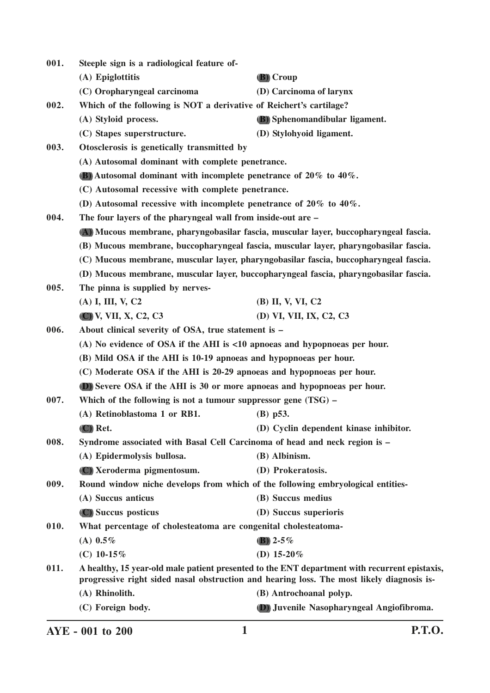| 001. | Steeple sign is a radiological feature of-                                                   |                                                                                                                                                                                            |
|------|----------------------------------------------------------------------------------------------|--------------------------------------------------------------------------------------------------------------------------------------------------------------------------------------------|
|      | (A) Epiglottitis                                                                             | (B) Croup                                                                                                                                                                                  |
|      | (C) Oropharyngeal carcinoma                                                                  | (D) Carcinoma of larynx                                                                                                                                                                    |
| 002. | Which of the following is NOT a derivative of Reichert's cartilage?                          |                                                                                                                                                                                            |
|      | (A) Styloid process.                                                                         | (B) Sphenomandibular ligament.                                                                                                                                                             |
|      | (C) Stapes superstructure.                                                                   | (D) Stylohyoid ligament.                                                                                                                                                                   |
| 003. | Otosclerosis is genetically transmitted by                                                   |                                                                                                                                                                                            |
|      | (A) Autosomal dominant with complete penetrance.                                             |                                                                                                                                                                                            |
|      | (B) Autosomal dominant with incomplete penetrance of $20\%$ to $40\%$ .                      |                                                                                                                                                                                            |
|      | (C) Autosomal recessive with complete penetrance.                                            |                                                                                                                                                                                            |
|      | (D) Autosomal recessive with incomplete penetrance of $20\%$ to $40\%$ .                     |                                                                                                                                                                                            |
| 004. | The four layers of the pharyngeal wall from inside-out are -                                 |                                                                                                                                                                                            |
|      |                                                                                              | (A) Mucous membrane, pharyngobasilar fascia, muscular layer, buccopharyngeal fascia.                                                                                                       |
|      |                                                                                              | (B) Mucous membrane, buccopharyngeal fascia, muscular layer, pharyngobasilar fascia.                                                                                                       |
|      |                                                                                              | (C) Mucous membrane, muscular layer, pharyngobasilar fascia, buccopharyngeal fascia.                                                                                                       |
|      |                                                                                              | (D) Mucous membrane, muscular layer, buccopharyngeal fascia, pharyngobasilar fascia.                                                                                                       |
| 005. | The pinna is supplied by nerves-                                                             |                                                                                                                                                                                            |
|      | (A) I, III, V, C2                                                                            | (B) II, V, VI, C2                                                                                                                                                                          |
|      | (C) V, VII, X, C2, C3                                                                        | (D) VI, VII, IX, C2, C3                                                                                                                                                                    |
| 006. | About clinical severity of OSA, true statement is -                                          |                                                                                                                                                                                            |
|      | $(A)$ No evidence of OSA if the AHI is $\langle 10 \rangle$ approas and hypopnoeas per hour. |                                                                                                                                                                                            |
|      | (B) Mild OSA if the AHI is 10-19 apnoeas and hypopnoeas per hour.                            |                                                                                                                                                                                            |
|      | (C) Moderate OSA if the AHI is 20-29 apnoeas and hypopnoeas per hour.                        |                                                                                                                                                                                            |
|      | (D) Severe OSA if the AHI is 30 or more apnoeas and hypopnoeas per hour.                     |                                                                                                                                                                                            |
| 007. | Which of the following is not a tumour suppressor gene $(TSG)$ –                             |                                                                                                                                                                                            |
|      | (A) Retinoblastoma 1 or RB1.                                                                 | $(B)$ p53.                                                                                                                                                                                 |
|      | $(C)$ Ret.                                                                                   | (D) Cyclin dependent kinase inhibitor.                                                                                                                                                     |
| 008. | Syndrome associated with Basal Cell Carcinoma of head and neck region is -                   |                                                                                                                                                                                            |
|      | (A) Epidermolysis bullosa.                                                                   | (B) Albinism.                                                                                                                                                                              |
|      | (C) Xeroderma pigmentosum.                                                                   | (D) Prokeratosis.                                                                                                                                                                          |
| 009. | Round window niche develops from which of the following embryological entities-              |                                                                                                                                                                                            |
|      | (A) Succus anticus                                                                           | (B) Succus medius                                                                                                                                                                          |
|      | (C) Succus posticus                                                                          | (D) Succus superioris                                                                                                                                                                      |
| 010. | What percentage of cholesteatoma are congenital cholesteatoma-                               |                                                                                                                                                                                            |
|      | (A) $0.5\%$                                                                                  | <b>(B)</b> 2-5%                                                                                                                                                                            |
|      | (C) $10-15\%$                                                                                | (D) $15-20\%$                                                                                                                                                                              |
| 011. |                                                                                              | A healthy, 15 year-old male patient presented to the ENT department with recurrent epistaxis,<br>progressive right sided nasal obstruction and hearing loss. The most likely diagnosis is- |
|      | (A) Rhinolith.                                                                               | (B) Antrochoanal polyp.                                                                                                                                                                    |
|      | (C) Foreign body.                                                                            | (D) Juvenile Nasopharyngeal Angiofibroma.                                                                                                                                                  |
|      |                                                                                              |                                                                                                                                                                                            |

**AYE - 001 to 200 1 P.T.O.**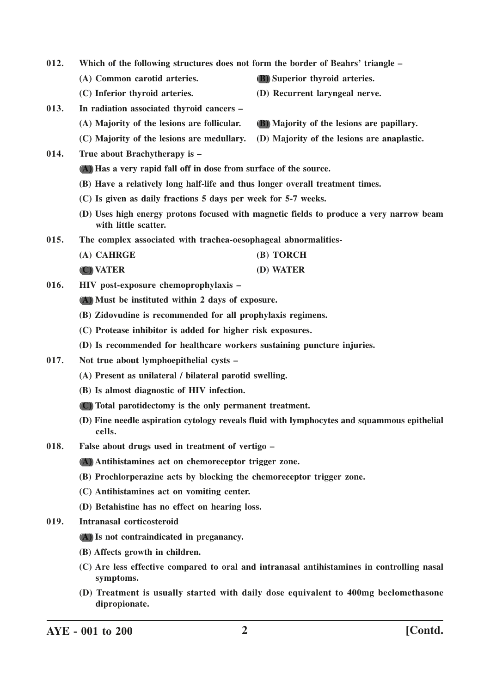| (D) Recurrent laryngeal nerve.<br>(B) Majority of the lesions are papillary.<br>(D) Majority of the lesions are anaplastic.<br>(B) Have a relatively long half-life and thus longer overall treatment times. |  |
|--------------------------------------------------------------------------------------------------------------------------------------------------------------------------------------------------------------|--|
|                                                                                                                                                                                                              |  |
|                                                                                                                                                                                                              |  |
|                                                                                                                                                                                                              |  |
|                                                                                                                                                                                                              |  |
|                                                                                                                                                                                                              |  |
|                                                                                                                                                                                                              |  |
|                                                                                                                                                                                                              |  |
|                                                                                                                                                                                                              |  |
|                                                                                                                                                                                                              |  |
| (D) Uses high energy protons focused with magnetic fields to produce a very narrow beam                                                                                                                      |  |
|                                                                                                                                                                                                              |  |
|                                                                                                                                                                                                              |  |
|                                                                                                                                                                                                              |  |
|                                                                                                                                                                                                              |  |
|                                                                                                                                                                                                              |  |
|                                                                                                                                                                                                              |  |
|                                                                                                                                                                                                              |  |
|                                                                                                                                                                                                              |  |
|                                                                                                                                                                                                              |  |
|                                                                                                                                                                                                              |  |
|                                                                                                                                                                                                              |  |
|                                                                                                                                                                                                              |  |
| (D) Fine needle aspiration cytology reveals fluid with lymphocytes and squammous epithelial                                                                                                                  |  |
|                                                                                                                                                                                                              |  |
|                                                                                                                                                                                                              |  |
|                                                                                                                                                                                                              |  |
| (C) Antihistamines act on vomiting center.                                                                                                                                                                   |  |
| (D) Betahistine has no effect on hearing loss.                                                                                                                                                               |  |
|                                                                                                                                                                                                              |  |
| (A) Is not contraindicated in preganancy.                                                                                                                                                                    |  |
|                                                                                                                                                                                                              |  |
| (C) Are less effective compared to oral and intranasal antihistamines in controlling nasal<br>symptoms.                                                                                                      |  |
| (D) Treatment is usually started with daily dose equivalent to 400mg beclomethasone                                                                                                                          |  |
|                                                                                                                                                                                                              |  |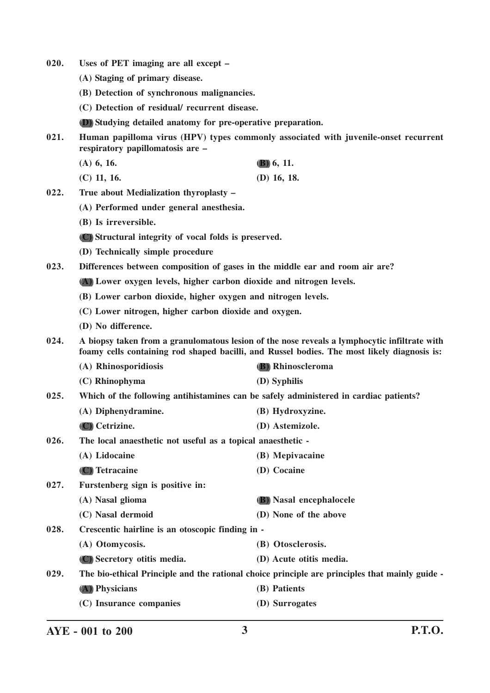- **020. Uses of PET imaging are all except –**
	- **(A) Staging of primary disease.**
	- **(B) Detection of synchronous malignancies.**
	- **(C) Detection of residual/ recurrent disease.**
	- **(D) Studying detailed anatomy for pre-operative preparation.**
- **021. Human papilloma virus (HPV) types commonly associated with juvenile-onset recurrent respiratory papillomatosis are –**
	- **(A) 6, 16. (B) 6, 11.**
	- **(C) 11, 16. (D) 16, 18.**
- **022. True about Medialization thyroplasty –**
	- **(A) Performed under general anesthesia.**
	- **(B) Is irreversible.**
	- **(C) Structural integrity of vocal folds is preserved.**
	- **(D) Technically simple procedure**
- **023. Differences between composition of gases in the middle ear and room air are?**
	- **(A) Lower oxygen levels, higher carbon dioxide and nitrogen levels.**
	- **(B) Lower carbon dioxide, higher oxygen and nitrogen levels.**
	- **(C) Lower nitrogen, higher carbon dioxide and oxygen.**
	- **(D) No difference.**

**024. A biopsy taken from a granulomatous lesion of the nose reveals a lymphocytic infiltrate with foamy cells containing rod shaped bacilli, and Russel bodies. The most likely diagnosis is:**

- **(A) Rhinosporidiosis (B) Rhinoscleroma**
- **(C) Rhinophyma (D) Syphilis**
- **025. Which of the following antihistamines can be safely administered in cardiac patients?**
	- **(A) Diphenydramine. (B) Hydroxyzine.**
	- **(C) Cetrizine. (D) Astemizole.**
- **026. The local anaesthetic not useful as a topical anaesthetic -**
	- **(A) Lidocaine (B) Mepivacaine**
	- **(C) Tetracaine (D) Cocaine**
- **027. Furstenberg sign is positive in: (A) Nasal glioma (B) Nasal encephalocele**
	- **(C) Nasal dermoid (D) None of the above**
- **028. Crescentic hairline is an otoscopic finding in - (A) Otomycosis. (B) Otosclerosis.**
	-
	- **(C) Secretory otitis media. (D) Acute otitis media.**
- **029. The bio-ethical Principle and the rational choice principle are principles that mainly guide -**
	- **(A) Physicians (B) Patients**
	- **(C) Insurance companies (D) Surrogates**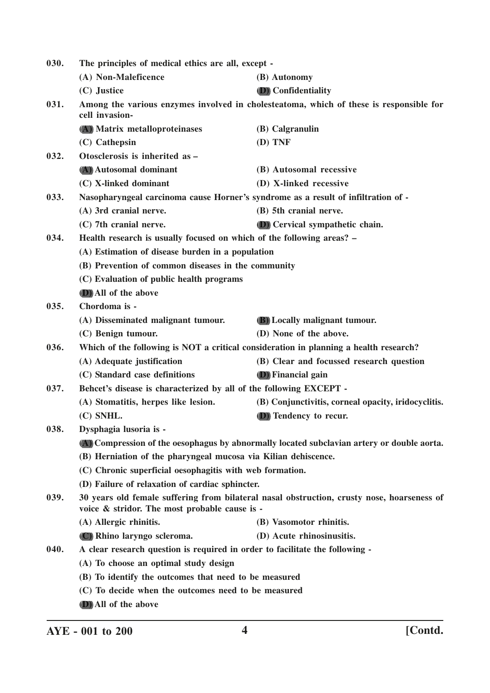| 030. | The principles of medical ethics are all, except -                                                                                          |                                                                                            |  |
|------|---------------------------------------------------------------------------------------------------------------------------------------------|--------------------------------------------------------------------------------------------|--|
|      | (A) Non-Maleficence                                                                                                                         | (B) Autonomy                                                                               |  |
|      | (C) Justice                                                                                                                                 | <b>(D)</b> Confidentiality                                                                 |  |
| 031. | Among the various enzymes involved in cholesteatoma, which of these is responsible for<br>cell invasion-                                    |                                                                                            |  |
|      | (A) Matrix metalloproteinases                                                                                                               | (B) Calgranulin                                                                            |  |
|      | (C) Cathepsin                                                                                                                               | $(D)$ TNF                                                                                  |  |
| 032. | Otosclerosis is inherited as -                                                                                                              |                                                                                            |  |
|      | (A) Autosomal dominant                                                                                                                      | (B) Autosomal recessive                                                                    |  |
|      | (C) X-linked dominant                                                                                                                       | (D) X-linked recessive                                                                     |  |
| 033. | Nasopharyngeal carcinoma cause Horner's syndrome as a result of infiltration of -                                                           |                                                                                            |  |
|      | (A) 3rd cranial nerve.                                                                                                                      | (B) 5th cranial nerve.                                                                     |  |
|      | (C) 7th cranial nerve.                                                                                                                      | (D) Cervical sympathetic chain.                                                            |  |
| 034. | Health research is usually focused on which of the following areas? -                                                                       |                                                                                            |  |
|      | (A) Estimation of disease burden in a population                                                                                            |                                                                                            |  |
|      | (B) Prevention of common diseases in the community                                                                                          |                                                                                            |  |
|      | (C) Evaluation of public health programs                                                                                                    |                                                                                            |  |
|      | (D) All of the above                                                                                                                        |                                                                                            |  |
| 035. | Chordoma is -                                                                                                                               |                                                                                            |  |
|      | (A) Disseminated malignant tumour.                                                                                                          | (B) Locally malignant tumour.                                                              |  |
|      | (C) Benign tumour.                                                                                                                          | (D) None of the above.                                                                     |  |
| 036. | Which of the following is NOT a critical consideration in planning a health research?                                                       |                                                                                            |  |
|      | (A) Adequate justification                                                                                                                  | (B) Clear and focussed research question                                                   |  |
|      | (C) Standard case definitions                                                                                                               | (D) Financial gain                                                                         |  |
| 037. | Behcet's disease is characterized by all of the following EXCEPT -                                                                          |                                                                                            |  |
|      | (A) Stomatitis, herpes like lesion.                                                                                                         | (B) Conjunctivitis, corneal opacity, iridocyclitis.                                        |  |
|      | (C) SNHL.                                                                                                                                   | (D) Tendency to recur.                                                                     |  |
| 038. | Dysphagia lusoria is -                                                                                                                      |                                                                                            |  |
|      |                                                                                                                                             | (A) Compression of the oesophagus by abnormally located subclavian artery or double aorta. |  |
|      | (B) Herniation of the pharyngeal mucosa via Kilian dehiscence.                                                                              |                                                                                            |  |
|      | (C) Chronic superficial oesophagitis with web formation.                                                                                    |                                                                                            |  |
|      | (D) Failure of relaxation of cardiac sphincter.                                                                                             |                                                                                            |  |
| 039. | 30 years old female suffering from bilateral nasal obstruction, crusty nose, hoarseness of<br>voice & stridor. The most probable cause is - |                                                                                            |  |
|      | (A) Allergic rhinitis.                                                                                                                      | (B) Vasomotor rhinitis.                                                                    |  |
|      | (C) Rhino laryngo scleroma.                                                                                                                 | (D) Acute rhinosinusitis.                                                                  |  |
| 040. | A clear research question is required in order to facilitate the following -                                                                |                                                                                            |  |
|      | (A) To choose an optimal study design                                                                                                       |                                                                                            |  |
|      | (B) To identify the outcomes that need to be measured                                                                                       |                                                                                            |  |
|      | (C) To decide when the outcomes need to be measured                                                                                         |                                                                                            |  |
|      | (D) All of the above                                                                                                                        |                                                                                            |  |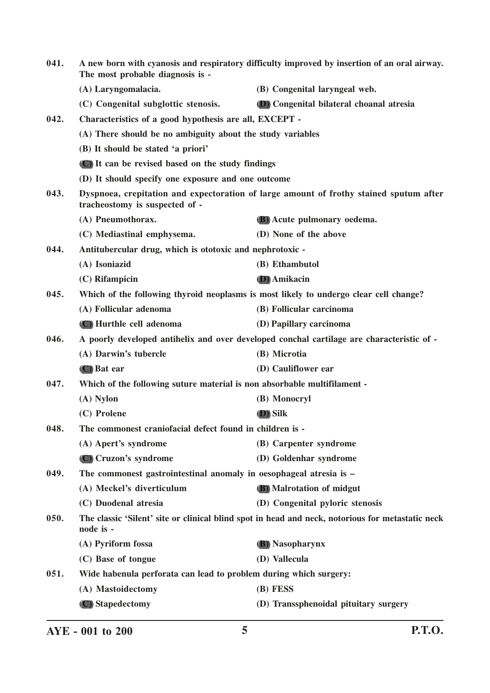| 041. | A new born with cyanosis and respiratory difficulty improved by insertion of an oral airway.<br>The most probable diagnosis is - |                                                                                                  |
|------|----------------------------------------------------------------------------------------------------------------------------------|--------------------------------------------------------------------------------------------------|
|      | (A) Laryngomalacia.                                                                                                              | (B) Congenital laryngeal web.                                                                    |
|      | (C) Congenital subglottic stenosis.                                                                                              | (D) Congenital bilateral choanal atresia                                                         |
| 042. | Characteristics of a good hypothesis are all, EXCEPT -                                                                           |                                                                                                  |
|      | (A) There should be no ambiguity about the study variables                                                                       |                                                                                                  |
|      | (B) It should be stated 'a priori'                                                                                               |                                                                                                  |
|      | (C) It can be revised based on the study findings                                                                                |                                                                                                  |
|      | (D) It should specify one exposure and one outcome                                                                               |                                                                                                  |
| 043. | tracheostomy is suspected of -                                                                                                   | Dyspnoea, crepitation and expectoration of large amount of frothy stained sputum after           |
|      | (A) Pneumothorax.                                                                                                                | (B) Acute pulmonary oedema.                                                                      |
|      | (C) Mediastinal emphysema.                                                                                                       | (D) None of the above                                                                            |
| 044. | Antitubercular drug, which is ototoxic and nephrotoxic -                                                                         |                                                                                                  |
|      | (A) Isoniazid                                                                                                                    | (B) Ethambutol                                                                                   |
|      | $(C)$ Rifampicin                                                                                                                 | <b>D</b> ) Amikacin                                                                              |
| 045. |                                                                                                                                  | Which of the following thyroid neoplasms is most likely to undergo clear cell change?            |
|      | (A) Follicular adenoma                                                                                                           | (B) Follicular carcinoma                                                                         |
|      | (C) Hurthle cell adenoma                                                                                                         | (D) Papillary carcinoma                                                                          |
| 046. |                                                                                                                                  | A poorly developed antihelix and over developed conchal cartilage are characteristic of -        |
|      | (A) Darwin's tubercle                                                                                                            | (B) Microtia                                                                                     |
|      | (C) Bat ear                                                                                                                      | (D) Cauliflower ear                                                                              |
| 047. | Which of the following suture material is non absorbable multifilament -                                                         |                                                                                                  |
|      | $(A)$ Nylon                                                                                                                      | (B) Monocryl                                                                                     |
|      | (C) Prolene                                                                                                                      | (D) Silk                                                                                         |
| 048. | The commonest craniofacial defect found in children is -                                                                         |                                                                                                  |
|      | (A) Apert's syndrome                                                                                                             | (B) Carpenter syndrome                                                                           |
|      | (C) Cruzon's syndrome                                                                                                            | (D) Goldenhar syndrome                                                                           |
| 049. | The commonest gastrointestinal anomaly in oesophageal atresia is -                                                               |                                                                                                  |
|      | (A) Meckel's diverticulum                                                                                                        | (B) Malrotation of midgut                                                                        |
|      | (C) Duodenal atresia                                                                                                             | (D) Congenital pyloric stenosis                                                                  |
| 050. | node is -                                                                                                                        | The classic 'Silent' site or clinical blind spot in head and neck, notorious for metastatic neck |
|      | (A) Pyriform fossa                                                                                                               | <b>(B)</b> Nasopharynx                                                                           |
|      | (C) Base of tongue                                                                                                               | (D) Vallecula                                                                                    |
| 051. | Wide habenula perforata can lead to problem during which surgery:                                                                |                                                                                                  |
|      | (A) Mastoidectomy                                                                                                                | (B) FESS                                                                                         |
|      | (C) Stapedectomy                                                                                                                 | (D) Transsphenoidal pituitary surgery                                                            |
|      |                                                                                                                                  |                                                                                                  |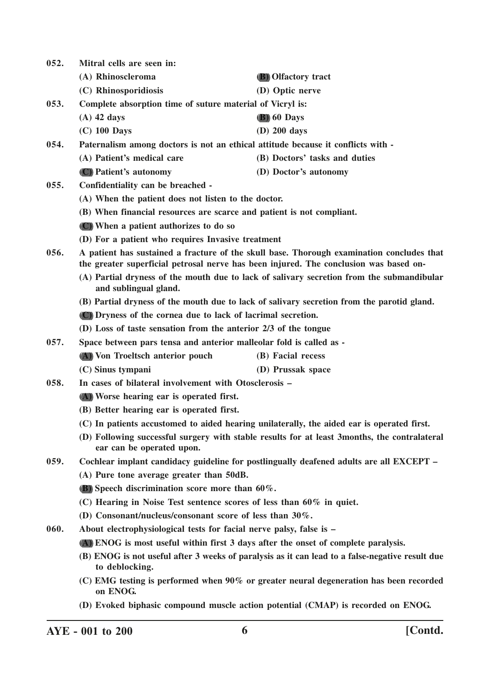| 052. | Mitral cells are seen in:                                                        |                                                                                                                                                                                    |
|------|----------------------------------------------------------------------------------|------------------------------------------------------------------------------------------------------------------------------------------------------------------------------------|
|      | (A) Rhinoscleroma                                                                | <b>(B)</b> Olfactory tract                                                                                                                                                         |
|      | (C) Rhinosporidiosis                                                             | (D) Optic nerve                                                                                                                                                                    |
| 053. | Complete absorption time of suture material of Vicryl is:                        |                                                                                                                                                                                    |
|      | $(A)$ 42 days                                                                    | (B) 60 Days                                                                                                                                                                        |
|      | $(C)$ 100 Days                                                                   | $(D)$ 200 days                                                                                                                                                                     |
| 054. | Paternalism among doctors is not an ethical attitude because it conflicts with - |                                                                                                                                                                                    |
|      | (A) Patient's medical care                                                       | (B) Doctors' tasks and duties                                                                                                                                                      |
|      | (C) Patient's autonomy                                                           | (D) Doctor's autonomy                                                                                                                                                              |
| 055. | Confidentiality can be breached -                                                |                                                                                                                                                                                    |
|      | (A) When the patient does not listen to the doctor.                              |                                                                                                                                                                                    |
|      | (B) When financial resources are scarce and patient is not compliant.            |                                                                                                                                                                                    |
|      | (C) When a patient authorizes to do so                                           |                                                                                                                                                                                    |
|      | (D) For a patient who requires Invasive treatment                                |                                                                                                                                                                                    |
| 056. |                                                                                  | A patient has sustained a fracture of the skull base. Thorough examination concludes that<br>the greater superficial petrosal nerve has been injured. The conclusion was based on- |
|      | and sublingual gland.                                                            | (A) Partial dryness of the mouth due to lack of salivary secretion from the submandibular                                                                                          |
|      |                                                                                  | (B) Partial dryness of the mouth due to lack of salivary secretion from the parotid gland.                                                                                         |
|      | (C) Dryness of the cornea due to lack of lacrimal secretion.                     |                                                                                                                                                                                    |
|      | (D) Loss of taste sensation from the anterior $2/3$ of the tongue                |                                                                                                                                                                                    |
| 057. | Space between pars tensa and anterior malleolar fold is called as -              |                                                                                                                                                                                    |
|      | (A) Von Troeltsch anterior pouch                                                 | (B) Facial recess                                                                                                                                                                  |
|      | (C) Sinus tympani                                                                | (D) Prussak space                                                                                                                                                                  |
| 058. | In cases of bilateral involvement with Otosclerosis -                            |                                                                                                                                                                                    |
|      | (A) Worse hearing ear is operated first.                                         |                                                                                                                                                                                    |
|      | (B) Better hearing ear is operated first.                                        |                                                                                                                                                                                    |
|      |                                                                                  | (C) In patients accustomed to aided hearing unilaterally, the aided ear is operated first.                                                                                         |
|      | ear can be operated upon.                                                        | (D) Following successful surgery with stable results for at least 3months, the contralateral                                                                                       |
| 059. |                                                                                  | Cochlear implant candidacy guideline for postlingually deafened adults are all EXCEPT -                                                                                            |
|      | (A) Pure tone average greater than 50dB.                                         |                                                                                                                                                                                    |
|      | (B) Speech discrimination score more than $60\%$ .                               |                                                                                                                                                                                    |
|      | (C) Hearing in Noise Test sentence scores of less than $60\%$ in quiet.          |                                                                                                                                                                                    |
|      | (D) Consonant/nucleus/consonant score of less than $30\%$ .                      |                                                                                                                                                                                    |
| 060. | About electrophysiological tests for facial nerve palsy, false is -              |                                                                                                                                                                                    |
|      |                                                                                  | (A) ENOG is most useful within first 3 days after the onset of complete paralysis.                                                                                                 |
|      | to deblocking.                                                                   | (B) ENOG is not useful after 3 weeks of paralysis as it can lead to a false-negative result due                                                                                    |
|      | on ENOG.                                                                         | (C) EMG testing is performed when 90% or greater neural degeneration has been recorded                                                                                             |
|      |                                                                                  | (D) Evoked biphasic compound muscle action potential (CMAP) is recorded on ENOG.                                                                                                   |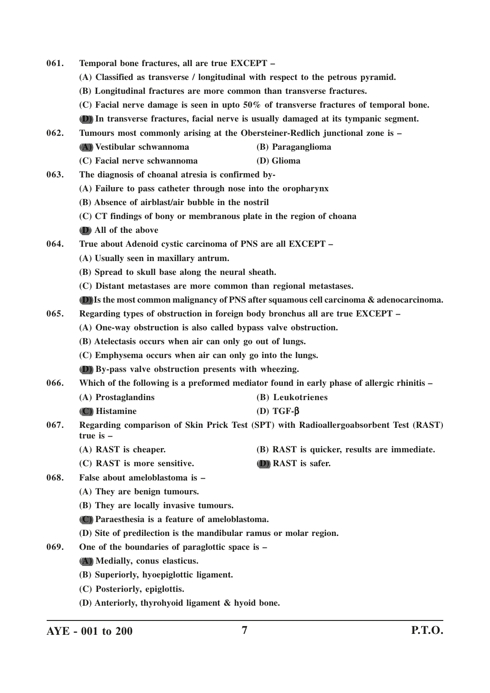| 061.<br>Temporal bone fractures, all are true EXCEPT - |                                                                                                     |                                                                                                 |  |
|--------------------------------------------------------|-----------------------------------------------------------------------------------------------------|-------------------------------------------------------------------------------------------------|--|
|                                                        | (A) Classified as transverse / longitudinal with respect to the petrous pyramid.                    |                                                                                                 |  |
|                                                        | (B) Longitudinal fractures are more common than transverse fractures.                               |                                                                                                 |  |
|                                                        |                                                                                                     | (C) Facial nerve damage is seen in upto 50% of transverse fractures of temporal bone.           |  |
|                                                        |                                                                                                     | (D) In transverse fractures, facial nerve is usually damaged at its tympanic segment.           |  |
| 062.                                                   |                                                                                                     | Tumours most commonly arising at the Obersteiner-Redlich junctional zone is -                   |  |
|                                                        | (A) Vestibular schwannoma                                                                           | (B) Paraganglioma                                                                               |  |
|                                                        | (C) Facial nerve schwannoma                                                                         | (D) Glioma                                                                                      |  |
| 063.                                                   | The diagnosis of choanal atresia is confirmed by-                                                   |                                                                                                 |  |
|                                                        | (A) Failure to pass catheter through nose into the oropharynx                                       |                                                                                                 |  |
|                                                        | (B) Absence of airblast/air bubble in the nostril                                                   |                                                                                                 |  |
|                                                        | (C) CT findings of bony or membranous plate in the region of choana                                 |                                                                                                 |  |
|                                                        | (D) All of the above                                                                                |                                                                                                 |  |
| 064.                                                   | True about Adenoid cystic carcinoma of PNS are all EXCEPT -                                         |                                                                                                 |  |
|                                                        | (A) Usually seen in maxillary antrum.                                                               |                                                                                                 |  |
|                                                        | (B) Spread to skull base along the neural sheath.                                                   |                                                                                                 |  |
|                                                        | (C) Distant metastases are more common than regional metastases.                                    |                                                                                                 |  |
|                                                        |                                                                                                     | <b>(D)</b> Is the most common malignancy of PNS after squamous cell carcinoma & adenocarcinoma. |  |
| 065.                                                   |                                                                                                     | Regarding types of obstruction in foreign body bronchus all are true EXCEPT –                   |  |
|                                                        | (A) One-way obstruction is also called bypass valve obstruction.                                    |                                                                                                 |  |
|                                                        | (B) Atelectasis occurs when air can only go out of lungs.                                           |                                                                                                 |  |
|                                                        | (C) Emphysema occurs when air can only go into the lungs.                                           |                                                                                                 |  |
|                                                        | (D) By-pass valve obstruction presents with wheezing.                                               |                                                                                                 |  |
| 066.                                                   |                                                                                                     | Which of the following is a preformed mediator found in early phase of allergic rhinitis –      |  |
|                                                        | (A) Prostaglandins                                                                                  | (B) Leukotrienes                                                                                |  |
|                                                        | (C) Histamine                                                                                       | (D) TGF- $\beta$                                                                                |  |
| 067.                                                   | Regarding comparison of Skin Prick Test (SPT) with Radioallergoabsorbent Test (RAST)<br>true is $-$ |                                                                                                 |  |
|                                                        | (A) RAST is cheaper.                                                                                | (B) RAST is quicker, results are immediate.                                                     |  |
|                                                        | (C) RAST is more sensitive.                                                                         | (D) RAST is safer.                                                                              |  |
| 068.                                                   | False about ameloblastoma is -                                                                      |                                                                                                 |  |
|                                                        | (A) They are benign tumours.                                                                        |                                                                                                 |  |
|                                                        | (B) They are locally invasive tumours.                                                              |                                                                                                 |  |
|                                                        | (C) Paraesthesia is a feature of ameloblastoma.                                                     |                                                                                                 |  |
|                                                        | (D) Site of predilection is the mandibular ramus or molar region.                                   |                                                                                                 |  |
| 069.                                                   | One of the boundaries of paraglottic space is -                                                     |                                                                                                 |  |
|                                                        | (A) Medially, conus elasticus.                                                                      |                                                                                                 |  |
|                                                        | (B) Superiorly, hyoepiglottic ligament.                                                             |                                                                                                 |  |
|                                                        | (C) Posteriorly, epiglottis.                                                                        |                                                                                                 |  |
|                                                        | (D) Anteriorly, thyrohyoid ligament & hyoid bone.                                                   |                                                                                                 |  |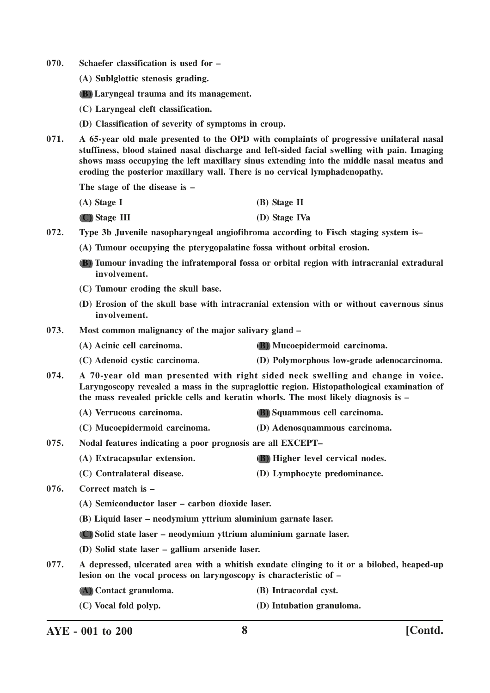- **070. Schaefer classification is used for –**
	- **(A) Sublglottic stenosis grading.**

**(B) Laryngeal trauma and its management.**

**(C) Laryngeal cleft classification.**

**(D) Classification of severity of symptoms in croup.**

**071. A 65-year old male presented to the OPD with complaints of progressive unilateral nasal stuffiness, blood stained nasal discharge and left-sided facial swelling with pain. Imaging shows mass occupying the left maxillary sinus extending into the middle nasal meatus and eroding the posterior maxillary wall. There is no cervical lymphadenopathy.**

**The stage of the disease is –**

| $(A)$ Stage I | (B) Stage II |  |
|---------------|--------------|--|
|               |              |  |

**(C) Stage III (D) Stage IVa**

- **072. Type 3b Juvenile nasopharyngeal angiofibroma according to Fisch staging system is–**
	- **(A) Tumour occupying the pterygopalatine fossa without orbital erosion.**
	- **(B) Tumour invading the infratemporal fossa or orbital region with intracranial extradural involvement.**
	- **(C) Tumour eroding the skull base.**
	- **(D) Erosion of the skull base with intracranial extension with or without cavernous sinus involvement.**
- **073. Most common malignancy of the major salivary gland –**
	- **(A) Acinic cell carcinoma. (B) Mucoepidermoid carcinoma.**
	- **(C) Adenoid cystic carcinoma. (D) Polymorphous low-grade adenocarcinoma.**
- **074. A 70-year old man presented with right sided neck swelling and change in voice. Laryngoscopy revealed a mass in the supraglottic region. Histopathological examination of the mass revealed prickle cells and keratin whorls. The most likely diagnosis is –**
	- **(A) Verrucous carcinoma. (B) Squammous cell carcinoma.**
	- **(C) Mucoepidermoid carcinoma. (D) Adenosquammous carcinoma.**

**075. Nodal features indicating a poor prognosis are all EXCEPT–**

- **(A) Extracapsular extension. (B) Higher level cervical nodes.**
- **(C) Contralateral disease. (D) Lymphocyte predominance.**

#### **076. Correct match is –**

- **(A) Semiconductor laser carbon dioxide laser.**
- **(B) Liquid laser neodymium yttrium aluminium garnate laser.**

**(C) Solid state laser – neodymium yttrium aluminium garnate laser.**

- **(D) Solid state laser gallium arsenide laser.**
- **077. A depressed, ulcerated area with a whitish exudate clinging to it or a bilobed, heaped-up lesion on the vocal process on laryngoscopy is characteristic of –**
	- **(A) Contact granuloma. (B) Intracordal cyst.**
		-
		- **(C) Vocal fold polyp. (D) Intubation granuloma.**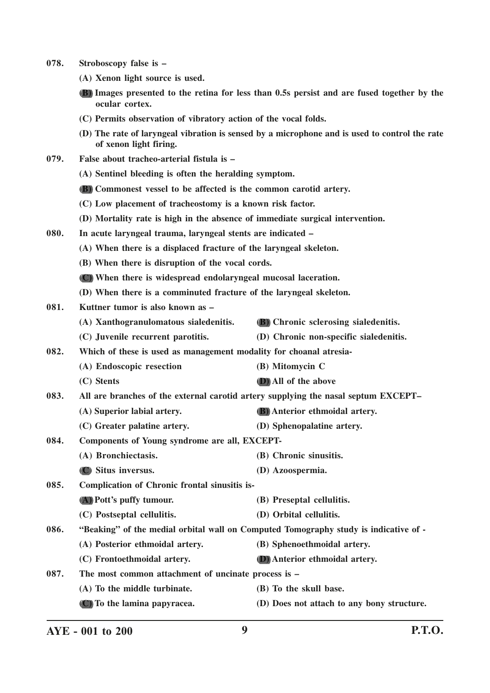- **078. Stroboscopy false is –**
	- **(A) Xenon light source is used.**
	- **(B) Images presented to the retina for less than 0.5s persist and are fused together by the ocular cortex.**
	- **(C) Permits observation of vibratory action of the vocal folds.**
	- **(D) The rate of laryngeal vibration is sensed by a microphone and is used to control the rate of xenon light firing.**
- **079. False about tracheo-arterial fistula is –**
	- **(A) Sentinel bleeding is often the heralding symptom.**
	- **(B) Commonest vessel to be affected is the common carotid artery.**
	- **(C) Low placement of tracheostomy is a known risk factor.**
	- **(D) Mortality rate is high in the absence of immediate surgical intervention.**
- **080. In acute laryngeal trauma, laryngeal stents are indicated –**
	- **(A) When there is a displaced fracture of the laryngeal skeleton.**
	- **(B) When there is disruption of the vocal cords.**
	- **(C) When there is widespread endolaryngeal mucosal laceration.**
	- **(D) When there is a comminuted fracture of the laryngeal skeleton.**
- **081. Kuttner tumor is also known as –**
	- **(A) Xanthogranulomatous sialedenitis. (B) Chronic sclerosing sialedenitis.**
	- **(C) Juvenile recurrent parotitis. (D) Chronic non-specific sialedenitis.**
- **082. Which of these is used as management modality for choanal atresia-**
	- **(A) Endoscopic resection (B) Mitomycin C**
		- **(C) Stents (D) All of the above**

**083. All are branches of the external carotid artery supplying the nasal septum EXCEPT–**

- **(A) Superior labial artery. (B) Anterior ethmoidal artery.**
	- **(C) Greater palatine artery. (D) Sphenopalatine artery.**
- **084. Components of Young syndrome are all, EXCEPT-**
	- **(A) Bronchiectasis. (B) Chronic sinusitis.**
- **(C) Situs inversus. (D) Azoospermia.**
- **085. Complication of Chronic frontal sinusitis is- (A) Pott's puffy tumour. (B) Preseptal cellulitis. (C) Postseptal cellulitis. (D) Orbital cellulitis.**
- **086. "Beaking" of the medial orbital wall on Computed Tomography study is indicative of -**
	- **(A) Posterior ethmoidal artery. (B) Sphenoethmoidal artery.**
		- **(C) Frontoethmoidal artery. (D) Anterior ethmoidal artery.**

**087. The most common attachment of uncinate process is –**

- **(A) To the middle turbinate. (B) To the skull base.**
- **(C) To the lamina papyracea. (D) Does not attach to any bony structure.**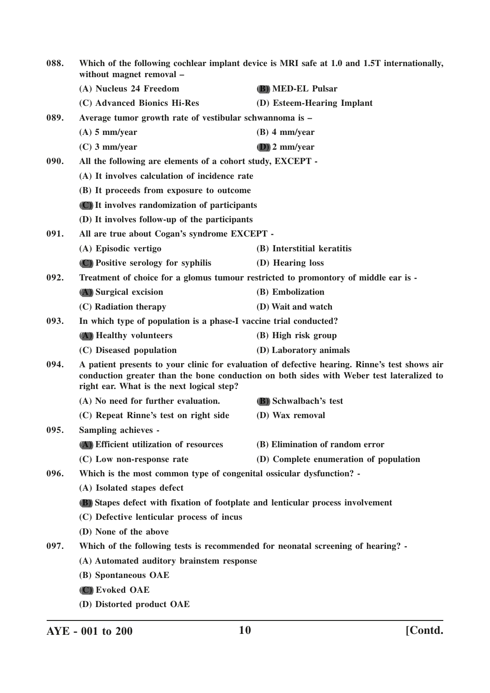| 088. | Which of the following cochlear implant device is MRI safe at 1.0 and 1.5T internationally,<br>without magnet removal - |                                                                                                                                                                                           |  |
|------|-------------------------------------------------------------------------------------------------------------------------|-------------------------------------------------------------------------------------------------------------------------------------------------------------------------------------------|--|
|      | (A) Nucleus 24 Freedom                                                                                                  | (B) MED-EL Pulsar                                                                                                                                                                         |  |
|      | (C) Advanced Bionics Hi-Res                                                                                             | (D) Esteem-Hearing Implant                                                                                                                                                                |  |
| 089. | Average tumor growth rate of vestibular schwannoma is -                                                                 |                                                                                                                                                                                           |  |
|      | $(A)$ 5 mm/year                                                                                                         | $(B)$ 4 mm/year                                                                                                                                                                           |  |
|      | $(C)$ 3 mm/year                                                                                                         | $(D)$ 2 mm/year                                                                                                                                                                           |  |
| 090. | All the following are elements of a cohort study, EXCEPT -                                                              |                                                                                                                                                                                           |  |
|      | (A) It involves calculation of incidence rate                                                                           |                                                                                                                                                                                           |  |
|      | (B) It proceeds from exposure to outcome                                                                                |                                                                                                                                                                                           |  |
|      | (C) It involves randomization of participants                                                                           |                                                                                                                                                                                           |  |
|      | (D) It involves follow-up of the participants                                                                           |                                                                                                                                                                                           |  |
| 091. | All are true about Cogan's syndrome EXCEPT -                                                                            |                                                                                                                                                                                           |  |
|      | (A) Episodic vertigo                                                                                                    | (B) Interstitial keratitis                                                                                                                                                                |  |
|      | (C) Positive serology for syphilis                                                                                      | (D) Hearing loss                                                                                                                                                                          |  |
| 092. |                                                                                                                         | Treatment of choice for a glomus tumour restricted to promontory of middle ear is -                                                                                                       |  |
|      | (A) Surgical excision                                                                                                   | (B) Embolization                                                                                                                                                                          |  |
|      | (C) Radiation therapy                                                                                                   | (D) Wait and watch                                                                                                                                                                        |  |
| 093. | In which type of population is a phase-I vaccine trial conducted?                                                       |                                                                                                                                                                                           |  |
|      | (A) Healthy volunteers                                                                                                  | (B) High risk group                                                                                                                                                                       |  |
|      | (C) Diseased population                                                                                                 | (D) Laboratory animals                                                                                                                                                                    |  |
| 094. | right ear. What is the next logical step?                                                                               | A patient presents to your clinic for evaluation of defective hearing. Rinne's test shows air<br>conduction greater than the bone conduction on both sides with Weber test lateralized to |  |
|      | (A) No need for further evaluation.                                                                                     | <b>(B)</b> Schwalbach's test                                                                                                                                                              |  |
|      | (C) Repeat Rinne's test on right side                                                                                   | (D) Wax removal                                                                                                                                                                           |  |
| 095. | Sampling achieves -                                                                                                     |                                                                                                                                                                                           |  |
|      | (A) Efficient utilization of resources                                                                                  | (B) Elimination of random error                                                                                                                                                           |  |
|      | (C) Low non-response rate                                                                                               | (D) Complete enumeration of population                                                                                                                                                    |  |
| 096. | Which is the most common type of congenital ossicular dysfunction? -                                                    |                                                                                                                                                                                           |  |
|      | (A) Isolated stapes defect                                                                                              |                                                                                                                                                                                           |  |
|      | (B) Stapes defect with fixation of footplate and lenticular process involvement                                         |                                                                                                                                                                                           |  |
|      | (C) Defective lenticular process of incus                                                                               |                                                                                                                                                                                           |  |
|      | (D) None of the above                                                                                                   |                                                                                                                                                                                           |  |
| 097. | Which of the following tests is recommended for neonatal screening of hearing? -                                        |                                                                                                                                                                                           |  |
|      | (A) Automated auditory brainstem response                                                                               |                                                                                                                                                                                           |  |
|      | (B) Spontaneous OAE                                                                                                     |                                                                                                                                                                                           |  |
|      | (C) Evoked OAE                                                                                                          |                                                                                                                                                                                           |  |
|      | (D) Distorted product OAE                                                                                               |                                                                                                                                                                                           |  |

**AYE - 001 to 200 10 [Contd.**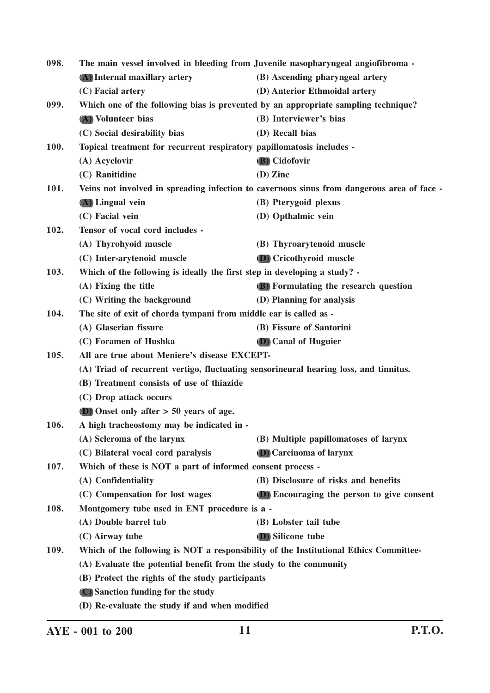| 098. | The main vessel involved in bleeding from Juvenile nasopharyngeal angiofibroma -      |                                                                                            |
|------|---------------------------------------------------------------------------------------|--------------------------------------------------------------------------------------------|
|      | (A) Internal maxillary artery                                                         | (B) Ascending pharyngeal artery                                                            |
|      | (C) Facial artery                                                                     | (D) Anterior Ethmoidal artery                                                              |
| 099. | Which one of the following bias is prevented by an appropriate sampling technique?    |                                                                                            |
|      | (A) Volunteer bias                                                                    | (B) Interviewer's bias                                                                     |
|      | (C) Social desirability bias                                                          | (D) Recall bias                                                                            |
| 100. | Topical treatment for recurrent respiratory papillomatosis includes -                 |                                                                                            |
|      | (A) Acyclovir                                                                         | (B) Cidofovir                                                                              |
|      | (C) Ranitidine                                                                        | $(D)$ Zinc                                                                                 |
| 101. |                                                                                       | Veins not involved in spreading infection to cavernous sinus from dangerous area of face - |
|      | (A) Lingual vein                                                                      | (B) Pterygoid plexus                                                                       |
|      | (C) Facial vein                                                                       | (D) Opthalmic vein                                                                         |
| 102. | Tensor of vocal cord includes -                                                       |                                                                                            |
|      | (A) Thyrohyoid muscle                                                                 | (B) Thyroarytenoid muscle                                                                  |
|      | (C) Inter-arytenoid muscle                                                            | (D) Cricothyroid muscle                                                                    |
| 103. | Which of the following is ideally the first step in developing a study? -             |                                                                                            |
|      | (A) Fixing the title                                                                  | (B) Formulating the research question                                                      |
|      | (C) Writing the background                                                            | (D) Planning for analysis                                                                  |
| 104. | The site of exit of chorda tympani from middle ear is called as -                     |                                                                                            |
|      | (A) Glaserian fissure                                                                 | (B) Fissure of Santorini                                                                   |
|      | (C) Foramen of Hushka                                                                 | (D) Canal of Huguier                                                                       |
| 105. | All are true about Meniere's disease EXCEPT-                                          |                                                                                            |
|      | (A) Triad of recurrent vertigo, fluctuating sensorineural hearing loss, and tinnitus. |                                                                                            |
|      | (B) Treatment consists of use of thiazide                                             |                                                                                            |
|      | (C) Drop attack occurs                                                                |                                                                                            |
|      | (D) Onset only after $> 50$ years of age.                                             |                                                                                            |
| 106. | A high tracheostomy may be indicated in -                                             |                                                                                            |
|      | (A) Scleroma of the larynx                                                            | (B) Multiple papillomatoses of larynx                                                      |
|      | (C) Bilateral vocal cord paralysis                                                    | <b>D</b> ) Carcinoma of larynx                                                             |
| 107. | Which of these is NOT a part of informed consent process -                            |                                                                                            |
|      | (A) Confidentiality                                                                   | (B) Disclosure of risks and benefits                                                       |
|      | (C) Compensation for lost wages                                                       | (D) Encouraging the person to give consent                                                 |
| 108. | Montgomery tube used in ENT procedure is a -                                          |                                                                                            |
|      | (A) Double barrel tub                                                                 | (B) Lobster tail tube                                                                      |
|      | (C) Airway tube                                                                       | (D) Silicone tube                                                                          |
| 109. | Which of the following is NOT a responsibility of the Institutional Ethics Committee- |                                                                                            |
|      | (A) Evaluate the potential benefit from the study to the community                    |                                                                                            |
|      | (B) Protect the rights of the study participants                                      |                                                                                            |
|      | (C) Sanction funding for the study                                                    |                                                                                            |
|      | (D) Re-evaluate the study if and when modified                                        |                                                                                            |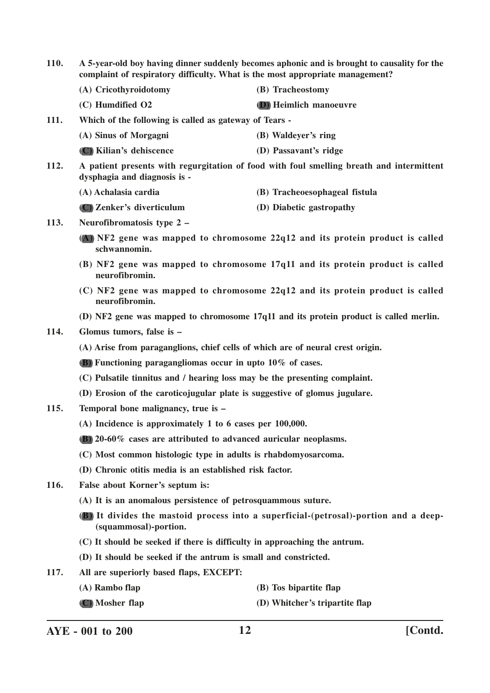- **110. A 5-year-old boy having dinner suddenly becomes aphonic and is brought to causality for the complaint of respiratory difficulty. What is the most appropriate management?**
	- **(A) Cricothyroidotomy (B) Tracheostomy (C) Humdified O2 (D) Heimlich manoeuvre**

**111. Which of the following is called as gateway of Tears -**

- **(A) Sinus of Morgagni (B) Waldeyer's ring**
- **(C) Kilian's dehiscence (D) Passavant's ridge**
- **112. A patient presents with regurgitation of food with foul smelling breath and intermittent dysphagia and diagnosis is -**
	- **(A) Achalasia cardia (B) Tracheoesophageal fistula**

**(C) Zenker's diverticulum (D) Diabetic gastropathy**

- **113. Neurofibromatosis type 2 –**
	- **(A) NF2 gene was mapped to chromosome 22q12 and its protein product is called schwannomin.**
	- **(B) NF2 gene was mapped to chromosome 17q11 and its protein product is called neurofibromin.**
	- **(C) NF2 gene was mapped to chromosome 22q12 and its protein product is called neurofibromin.**
	- **(D) NF2 gene was mapped to chromosome 17q11 and its protein product is called merlin.**

## **114. Glomus tumors, false is –**

**(A) Arise from paraganglions, chief cells of which are of neural crest origin.**

**(B) Functioning paragangliomas occur in upto 10% of cases.**

- **(C) Pulsatile tinnitus and / hearing loss may be the presenting complaint.**
- **(D) Erosion of the caroticojugular plate is suggestive of glomus jugulare.**
- **115. Temporal bone malignancy, true is –**
	- **(A) Incidence is approximately 1 to 6 cases per 100,000.**
	- **(B) 20-60% cases are attributed to advanced auricular neoplasms.**
	- **(C) Most common histologic type in adults is rhabdomyosarcoma.**
	- **(D) Chronic otitis media is an established risk factor.**
- **116. False about Korner's septum is:**
	- **(A) It is an anomalous persistence of petrosquammous suture.**
	- **(B) It divides the mastoid process into a superficial-(petrosal)-portion and a deep- (squammosal)-portion.**
	- **(C) It should be seeked if there is difficulty in approaching the antrum.**
	- **(D) It should be seeked if the antrum is small and constricted.**
- **117. All are superiorly based flaps, EXCEPT:**
	- **(A) Rambo flap (B) Tos bipartite flap**
	- **(C) Mosher flap (D) Whitcher's tripartite flap**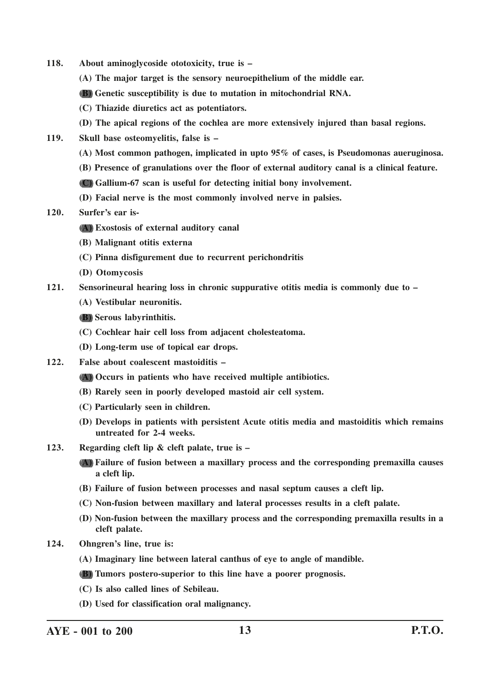- **118. About aminoglycoside ototoxicity, true is –**
	- **(A) The major target is the sensory neuroepithelium of the middle ear.**
	- **(B) Genetic susceptibility is due to mutation in mitochondrial RNA.**
	- **(C) Thiazide diuretics act as potentiators.**
	- **(D) The apical regions of the cochlea are more extensively injured than basal regions.**
- **119. Skull base osteomyelitis, false is –**
	- **(A) Most common pathogen, implicated in upto 95% of cases, is Pseudomonas aueruginosa.**
	- **(B) Presence of granulations over the floor of external auditory canal is a clinical feature.**
	- **(C) Gallium-67 scan is useful for detecting initial bony involvement.**
	- **(D) Facial nerve is the most commonly involved nerve in palsies.**
- **120. Surfer's ear is-**
	- **(A) Exostosis of external auditory canal**
	- **(B) Malignant otitis externa**
	- **(C) Pinna disfigurement due to recurrent perichondritis**
	- **(D) Otomycosis**
- **121. Sensorineural hearing loss in chronic suppurative otitis media is commonly due to –**
	- **(A) Vestibular neuronitis.**
	- **(B) Serous labyrinthitis.**
	- **(C) Cochlear hair cell loss from adjacent cholesteatoma.**
	- **(D) Long-term use of topical ear drops.**
- **122. False about coalescent mastoiditis –**
	- **(A) Occurs in patients who have received multiple antibiotics.**
	- **(B) Rarely seen in poorly developed mastoid air cell system.**
	- **(C) Particularly seen in children.**
	- **(D) Develops in patients with persistent Acute otitis media and mastoiditis which remains untreated for 2-4 weeks.**
- **123. Regarding cleft lip & cleft palate, true is –**
	- **(A) Failure of fusion between a maxillary process and the corresponding premaxilla causes a cleft lip.**
	- **(B) Failure of fusion between processes and nasal septum causes a cleft lip.**
	- **(C) Non-fusion between maxillary and lateral processes results in a cleft palate.**
	- **(D) Non-fusion between the maxillary process and the corresponding premaxilla results in a cleft palate.**
- **124. Ohngren's line, true is:**
	- **(A) Imaginary line between lateral canthus of eye to angle of mandible.**
	- **(B) Tumors postero-superior to this line have a poorer prognosis.**
	- **(C) Is also called lines of Sebileau.**
	- **(D) Used for classification oral malignancy.**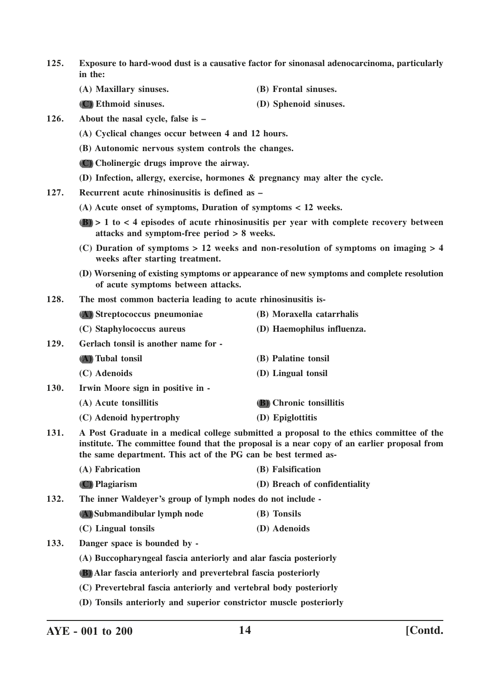| 125.        | Exposure to hard-wood dust is a causative factor for sinonasal adenocarcinoma, particularly<br>in the:                                                                                                                                                    |                                                                                           |  |
|-------------|-----------------------------------------------------------------------------------------------------------------------------------------------------------------------------------------------------------------------------------------------------------|-------------------------------------------------------------------------------------------|--|
|             | (A) Maxillary sinuses.                                                                                                                                                                                                                                    | (B) Frontal sinuses.                                                                      |  |
|             | (C) Ethmoid sinuses.                                                                                                                                                                                                                                      | (D) Sphenoid sinuses.                                                                     |  |
| 126.        | About the nasal cycle, false is -                                                                                                                                                                                                                         |                                                                                           |  |
|             | (A) Cyclical changes occur between 4 and 12 hours.                                                                                                                                                                                                        |                                                                                           |  |
|             | (B) Autonomic nervous system controls the changes.                                                                                                                                                                                                        |                                                                                           |  |
|             | (C) Cholinergic drugs improve the airway.                                                                                                                                                                                                                 |                                                                                           |  |
|             | (D) Infection, allergy, exercise, hormones & pregnancy may alter the cycle.                                                                                                                                                                               |                                                                                           |  |
| 127.        | Recurrent acute rhinosinusitis is defined as -                                                                                                                                                                                                            |                                                                                           |  |
|             | $(A)$ Acute onset of symptoms, Duration of symptoms $< 12$ weeks.                                                                                                                                                                                         |                                                                                           |  |
|             | attacks and symptom-free period > 8 weeks.                                                                                                                                                                                                                | $(B) > 1$ to < 4 episodes of acute rhinosinusitis per year with complete recovery between |  |
|             | weeks after starting treatment.                                                                                                                                                                                                                           | (C) Duration of symptoms $> 12$ weeks and non-resolution of symptoms on imaging $> 4$     |  |
|             | of acute symptoms between attacks.                                                                                                                                                                                                                        | (D) Worsening of existing symptoms or appearance of new symptoms and complete resolution  |  |
| 128.        | The most common bacteria leading to acute rhinosinusitis is-                                                                                                                                                                                              |                                                                                           |  |
|             | (A) Streptococcus pneumoniae                                                                                                                                                                                                                              | (B) Moraxella catarrhalis                                                                 |  |
|             | (C) Staphylococcus aureus                                                                                                                                                                                                                                 | (D) Haemophilus influenza.                                                                |  |
| 129.        | Gerlach tonsil is another name for -                                                                                                                                                                                                                      |                                                                                           |  |
|             | (A) Tubal tonsil                                                                                                                                                                                                                                          | (B) Palatine tonsil                                                                       |  |
|             | (C) Adenoids                                                                                                                                                                                                                                              | (D) Lingual tonsil                                                                        |  |
| <b>130.</b> | Irwin Moore sign in positive in -                                                                                                                                                                                                                         |                                                                                           |  |
|             | (A) Acute tonsillitis                                                                                                                                                                                                                                     | <b>(B)</b> Chronic tonsillitis                                                            |  |
|             | (C) Adenoid hypertrophy                                                                                                                                                                                                                                   | (D) Epiglottitis                                                                          |  |
| 131.        | A Post Graduate in a medical college submitted a proposal to the ethics committee of the<br>institute. The committee found that the proposal is a near copy of an earlier proposal from<br>the same department. This act of the PG can be best termed as- |                                                                                           |  |
|             | (A) Fabrication                                                                                                                                                                                                                                           | (B) Falsification                                                                         |  |
|             | (C) Plagiarism                                                                                                                                                                                                                                            | (D) Breach of confidentiality                                                             |  |
| 132.        | The inner Waldeyer's group of lymph nodes do not include -                                                                                                                                                                                                |                                                                                           |  |
|             | (A) Submandibular lymph node                                                                                                                                                                                                                              | (B) Tonsils                                                                               |  |
|             | (C) Lingual tonsils                                                                                                                                                                                                                                       | (D) Adenoids                                                                              |  |
| 133.        | Danger space is bounded by -                                                                                                                                                                                                                              |                                                                                           |  |
|             | (A) Buccopharyngeal fascia anteriorly and alar fascia posteriorly                                                                                                                                                                                         |                                                                                           |  |
|             | (B) Alar fascia anteriorly and prevertebral fascia posteriorly                                                                                                                                                                                            |                                                                                           |  |
|             | (C) Prevertebral fascia anteriorly and vertebral body posteriorly                                                                                                                                                                                         |                                                                                           |  |
|             | (D) Tonsils anteriorly and superior constrictor muscle posteriorly                                                                                                                                                                                        |                                                                                           |  |
|             |                                                                                                                                                                                                                                                           |                                                                                           |  |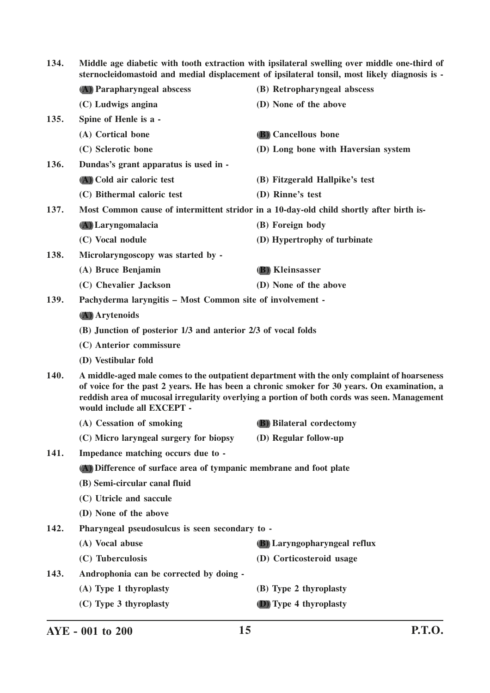| 134.<br>Middle age diabetic with tooth extraction with ipsilateral swelling over middle one-third of<br>sternocleidomastoid and medial displacement of ipsilateral tonsil, most likely diagnosis is - |                                                                                                                                                                                                                                                                                                                         |                                                                                         |  |
|-------------------------------------------------------------------------------------------------------------------------------------------------------------------------------------------------------|-------------------------------------------------------------------------------------------------------------------------------------------------------------------------------------------------------------------------------------------------------------------------------------------------------------------------|-----------------------------------------------------------------------------------------|--|
|                                                                                                                                                                                                       | (A) Parapharyngeal abscess                                                                                                                                                                                                                                                                                              | (B) Retropharyngeal abscess                                                             |  |
|                                                                                                                                                                                                       | (C) Ludwigs angina                                                                                                                                                                                                                                                                                                      | (D) None of the above                                                                   |  |
| 135.                                                                                                                                                                                                  | Spine of Henle is a -                                                                                                                                                                                                                                                                                                   |                                                                                         |  |
|                                                                                                                                                                                                       | (A) Cortical bone                                                                                                                                                                                                                                                                                                       | <b>(B)</b> Cancellous bone                                                              |  |
|                                                                                                                                                                                                       | (C) Sclerotic bone                                                                                                                                                                                                                                                                                                      | (D) Long bone with Haversian system                                                     |  |
| 136.                                                                                                                                                                                                  | Dundas's grant apparatus is used in -                                                                                                                                                                                                                                                                                   |                                                                                         |  |
|                                                                                                                                                                                                       | (A) Cold air caloric test                                                                                                                                                                                                                                                                                               | (B) Fitzgerald Hallpike's test                                                          |  |
|                                                                                                                                                                                                       | (C) Bithermal caloric test                                                                                                                                                                                                                                                                                              | (D) Rinne's test                                                                        |  |
| 137.                                                                                                                                                                                                  |                                                                                                                                                                                                                                                                                                                         | Most Common cause of intermittent stridor in a 10-day-old child shortly after birth is- |  |
|                                                                                                                                                                                                       | (A) Laryngomalacia                                                                                                                                                                                                                                                                                                      | (B) Foreign body                                                                        |  |
|                                                                                                                                                                                                       | (C) Vocal nodule                                                                                                                                                                                                                                                                                                        | (D) Hypertrophy of turbinate                                                            |  |
| 138.                                                                                                                                                                                                  | Microlaryngoscopy was started by -                                                                                                                                                                                                                                                                                      |                                                                                         |  |
|                                                                                                                                                                                                       | (A) Bruce Benjamin                                                                                                                                                                                                                                                                                                      | (B) Kleinsasser                                                                         |  |
|                                                                                                                                                                                                       | (C) Chevalier Jackson                                                                                                                                                                                                                                                                                                   | (D) None of the above                                                                   |  |
| 139.                                                                                                                                                                                                  | Pachyderma laryngitis - Most Common site of involvement -                                                                                                                                                                                                                                                               |                                                                                         |  |
|                                                                                                                                                                                                       | (A) Arytenoids                                                                                                                                                                                                                                                                                                          |                                                                                         |  |
|                                                                                                                                                                                                       | (B) Junction of posterior 1/3 and anterior 2/3 of vocal folds                                                                                                                                                                                                                                                           |                                                                                         |  |
|                                                                                                                                                                                                       | (C) Anterior commissure                                                                                                                                                                                                                                                                                                 |                                                                                         |  |
|                                                                                                                                                                                                       | (D) Vestibular fold                                                                                                                                                                                                                                                                                                     |                                                                                         |  |
| 140.                                                                                                                                                                                                  | A middle-aged male comes to the outpatient department with the only complaint of hoarseness<br>of voice for the past 2 years. He has been a chronic smoker for 30 years. On examination, a<br>reddish area of mucosal irregularity overlying a portion of both cords was seen. Management<br>would include all EXCEPT - |                                                                                         |  |
|                                                                                                                                                                                                       | (A) Cessation of smoking                                                                                                                                                                                                                                                                                                | (B) Bilateral cordectomy                                                                |  |
|                                                                                                                                                                                                       | (C) Micro laryngeal surgery for biopsy                                                                                                                                                                                                                                                                                  | (D) Regular follow-up                                                                   |  |
| 141.                                                                                                                                                                                                  | Impedance matching occurs due to -                                                                                                                                                                                                                                                                                      |                                                                                         |  |
|                                                                                                                                                                                                       | (A) Difference of surface area of tympanic membrane and foot plate                                                                                                                                                                                                                                                      |                                                                                         |  |
|                                                                                                                                                                                                       | (B) Semi-circular canal fluid                                                                                                                                                                                                                                                                                           |                                                                                         |  |
|                                                                                                                                                                                                       | (C) Utricle and saccule                                                                                                                                                                                                                                                                                                 |                                                                                         |  |
|                                                                                                                                                                                                       | (D) None of the above                                                                                                                                                                                                                                                                                                   |                                                                                         |  |
| 142.                                                                                                                                                                                                  | Pharyngeal pseudosulcus is seen secondary to -                                                                                                                                                                                                                                                                          |                                                                                         |  |
|                                                                                                                                                                                                       | (A) Vocal abuse                                                                                                                                                                                                                                                                                                         | (B) Laryngopharyngeal reflux                                                            |  |
|                                                                                                                                                                                                       | (C) Tuberculosis                                                                                                                                                                                                                                                                                                        | (D) Corticosteroid usage                                                                |  |
| 143.                                                                                                                                                                                                  | Androphonia can be corrected by doing -                                                                                                                                                                                                                                                                                 |                                                                                         |  |
|                                                                                                                                                                                                       | (A) Type 1 thyroplasty                                                                                                                                                                                                                                                                                                  | (B) Type 2 thyroplasty                                                                  |  |
|                                                                                                                                                                                                       | (C) Type 3 thyroplasty                                                                                                                                                                                                                                                                                                  | (D) Type 4 thyroplasty                                                                  |  |
|                                                                                                                                                                                                       |                                                                                                                                                                                                                                                                                                                         |                                                                                         |  |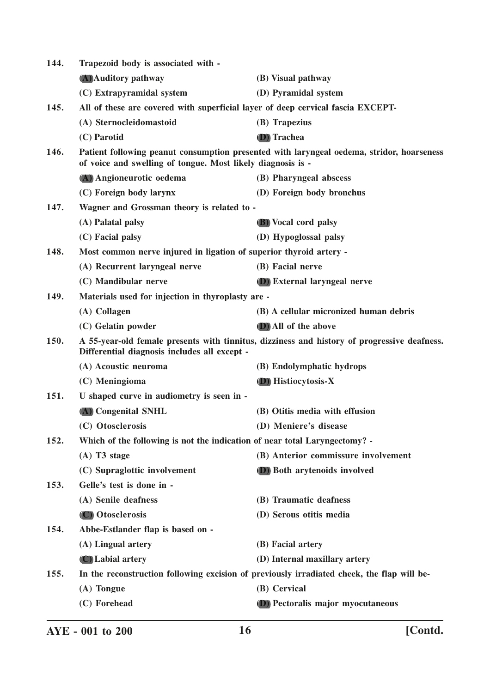| 144.                                                                                                                                                             | Trapezoid body is associated with -                                                        |                                                                    |  |
|------------------------------------------------------------------------------------------------------------------------------------------------------------------|--------------------------------------------------------------------------------------------|--------------------------------------------------------------------|--|
|                                                                                                                                                                  | (A) Auditory pathway                                                                       | (B) Visual pathway                                                 |  |
|                                                                                                                                                                  | (C) Extrapyramidal system                                                                  | (D) Pyramidal system                                               |  |
| 145.                                                                                                                                                             | All of these are covered with superficial layer of deep cervical fascia EXCEPT-            |                                                                    |  |
|                                                                                                                                                                  | (A) Sternocleidomastoid                                                                    | (B) Trapezius                                                      |  |
|                                                                                                                                                                  | (C) Parotid                                                                                | (D) Trachea                                                        |  |
| 146.<br>Patient following peanut consumption presented with laryngeal oedema, stridor, hoarseness<br>of voice and swelling of tongue. Most likely diagnosis is - |                                                                                            |                                                                    |  |
|                                                                                                                                                                  | (A) Angioneurotic oedema                                                                   | (B) Pharyngeal abscess                                             |  |
|                                                                                                                                                                  | (C) Foreign body larynx                                                                    | (D) Foreign body bronchus                                          |  |
| 147.                                                                                                                                                             | Wagner and Grossman theory is related to -                                                 |                                                                    |  |
|                                                                                                                                                                  | (A) Palatal palsy                                                                          | <b>(B)</b> Vocal cord palsy                                        |  |
|                                                                                                                                                                  | (C) Facial palsy                                                                           | (D) Hypoglossal palsy                                              |  |
| 148.                                                                                                                                                             |                                                                                            | Most common nerve injured in ligation of superior thyroid artery - |  |
|                                                                                                                                                                  | (A) Recurrent laryngeal nerve                                                              | (B) Facial nerve                                                   |  |
|                                                                                                                                                                  | (C) Mandibular nerve                                                                       | (D) External laryngeal nerve                                       |  |
| 149.<br>Materials used for injection in thyroplasty are -                                                                                                        |                                                                                            |                                                                    |  |
|                                                                                                                                                                  | (A) Collagen                                                                               | (B) A cellular micronized human debris                             |  |
|                                                                                                                                                                  | (C) Gelatin powder                                                                         | (D) All of the above                                               |  |
| A 55-year-old female presents with tinnitus, dizziness and history of progressive deafness.<br>150.<br>Differential diagnosis includes all except -              |                                                                                            |                                                                    |  |
|                                                                                                                                                                  | (A) Acoustic neuroma                                                                       | (B) Endolymphatic hydrops                                          |  |
|                                                                                                                                                                  | (C) Meningioma                                                                             | (D) Histiocytosis-X                                                |  |
| 151.                                                                                                                                                             | U shaped curve in audiometry is seen in -                                                  |                                                                    |  |
|                                                                                                                                                                  | (A) Congenital SNHL                                                                        | (B) Otitis media with effusion                                     |  |
|                                                                                                                                                                  | (C) Otosclerosis                                                                           | (D) Meniere's disease                                              |  |
| 152.                                                                                                                                                             | Which of the following is not the indication of near total Laryngectomy? -                 |                                                                    |  |
|                                                                                                                                                                  | $(A)$ T <sub>3</sub> stage                                                                 | (B) Anterior commissure involvement                                |  |
|                                                                                                                                                                  | (C) Supraglottic involvement                                                               | (D) Both arytenoids involved                                       |  |
| 153.                                                                                                                                                             | Gelle's test is done in -                                                                  |                                                                    |  |
|                                                                                                                                                                  | (A) Senile deafness                                                                        | (B) Traumatic deafness                                             |  |
|                                                                                                                                                                  | (C) Otosclerosis                                                                           | (D) Serous otitis media                                            |  |
| 154.                                                                                                                                                             | Abbe-Estlander flap is based on -                                                          |                                                                    |  |
|                                                                                                                                                                  | (A) Lingual artery                                                                         | (B) Facial artery                                                  |  |
|                                                                                                                                                                  | (C) Labial artery                                                                          | (D) Internal maxillary artery                                      |  |
| 155.                                                                                                                                                             | In the reconstruction following excision of previously irradiated cheek, the flap will be- |                                                                    |  |
|                                                                                                                                                                  | (A) Tongue                                                                                 | (B) Cervical                                                       |  |
|                                                                                                                                                                  | (C) Forehead                                                                               | (D) Pectoralis major myocutaneous                                  |  |
|                                                                                                                                                                  |                                                                                            |                                                                    |  |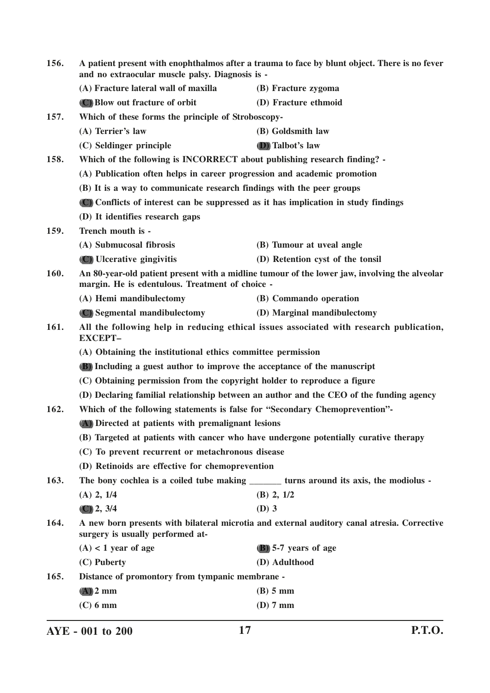| 156.        | A patient present with enophthalmos after a trauma to face by blunt object. There is no fever<br>and no extraocular muscle palsy. Diagnosis is - |                                                                                          |  |
|-------------|--------------------------------------------------------------------------------------------------------------------------------------------------|------------------------------------------------------------------------------------------|--|
|             | (A) Fracture lateral wall of maxilla                                                                                                             | (B) Fracture zygoma                                                                      |  |
|             | (C) Blow out fracture of orbit                                                                                                                   | (D) Fracture ethmoid                                                                     |  |
| 157.        | Which of these forms the principle of Stroboscopy-                                                                                               |                                                                                          |  |
|             | (A) Terrier's law                                                                                                                                | (B) Goldsmith law                                                                        |  |
|             | (C) Seldinger principle                                                                                                                          | <b>D</b> ) Talbot's law                                                                  |  |
| 158.        | Which of the following is INCORRECT about publishing research finding? -                                                                         |                                                                                          |  |
|             | (A) Publication often helps in career progression and academic promotion                                                                         |                                                                                          |  |
|             | (B) It is a way to communicate research findings with the peer groups                                                                            |                                                                                          |  |
|             | (C) Conflicts of interest can be suppressed as it has implication in study findings                                                              |                                                                                          |  |
|             | (D) It identifies research gaps                                                                                                                  |                                                                                          |  |
| <b>159.</b> | Trench mouth is -                                                                                                                                |                                                                                          |  |
|             | (A) Submucosal fibrosis                                                                                                                          | (B) Tumour at uveal angle                                                                |  |
|             | (C) Ulcerative gingivitis                                                                                                                        | (D) Retention cyst of the tonsil                                                         |  |
| 160.        | An 80-year-old patient present with a midline tumour of the lower jaw, involving the alveolar<br>margin. He is edentulous. Treatment of choice - |                                                                                          |  |
|             | (A) Hemi mandibulectomy                                                                                                                          | (B) Commando operation                                                                   |  |
|             | (C) Segmental mandibulectomy                                                                                                                     | (D) Marginal mandibulectomy                                                              |  |
| 161.        | All the following help in reducing ethical issues associated with research publication,<br><b>EXCEPT-</b>                                        |                                                                                          |  |
|             | (A) Obtaining the institutional ethics committee permission                                                                                      |                                                                                          |  |
|             | <b>(B)</b> Including a guest author to improve the acceptance of the manuscript                                                                  |                                                                                          |  |
|             | (C) Obtaining permission from the copyright holder to reproduce a figure                                                                         |                                                                                          |  |
|             | (D) Declaring familial relationship between an author and the CEO of the funding agency                                                          |                                                                                          |  |
| 162.        | Which of the following statements is false for "Secondary Chemoprevention"-                                                                      |                                                                                          |  |
|             | (A) Directed at patients with premalignant lesions                                                                                               |                                                                                          |  |
|             | (B) Targeted at patients with cancer who have undergone potentially curative therapy                                                             |                                                                                          |  |
|             | (C) To prevent recurrent or metachronous disease                                                                                                 |                                                                                          |  |
|             | (D) Retinoids are effective for chemoprevention                                                                                                  |                                                                                          |  |
| 163.        |                                                                                                                                                  | The bony cochlea is a coiled tube making _________ turns around its axis, the modiolus - |  |
|             | $(A)$ 2, $1/4$                                                                                                                                   | $(B)$ 2, $1/2$                                                                           |  |
|             | $(C)$ 2, 3/4                                                                                                                                     | $(D)$ 3                                                                                  |  |
| 164.        | A new born presents with bilateral microtia and external auditory canal atresia. Corrective<br>surgery is usually performed at-                  |                                                                                          |  |
|             | $(A) < 1$ year of age                                                                                                                            | (B) 5-7 years of age                                                                     |  |
|             | (C) Puberty                                                                                                                                      | (D) Adulthood                                                                            |  |
| 165.        | Distance of promontory from tympanic membrane -                                                                                                  |                                                                                          |  |
|             | $(A)$ 2 mm                                                                                                                                       | $(B)$ 5 mm                                                                               |  |
|             | $(C)$ 6 mm                                                                                                                                       | $(D)$ 7 mm                                                                               |  |
|             |                                                                                                                                                  |                                                                                          |  |

**AYE - 001 to 200 17 P.T.O.**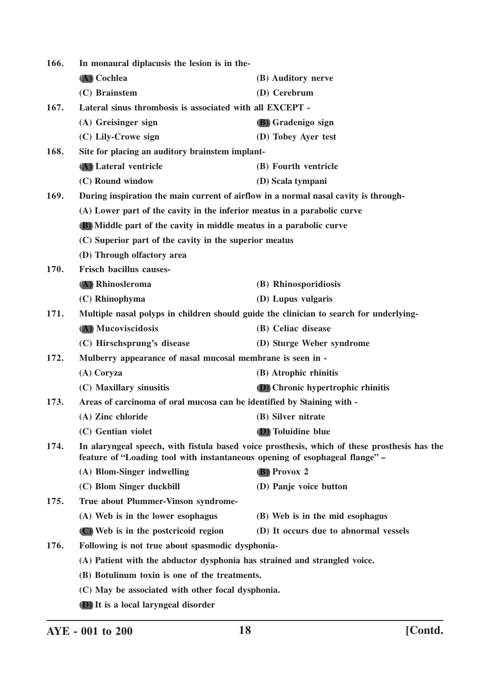| 166. | In monaural diplacusis the lesion is in the-                                                                                                                                |                                                            |  |  |
|------|-----------------------------------------------------------------------------------------------------------------------------------------------------------------------------|------------------------------------------------------------|--|--|
|      | (A) Cochlea                                                                                                                                                                 | (B) Auditory nerve                                         |  |  |
|      | (C) Brainstem                                                                                                                                                               | (D) Cerebrum                                               |  |  |
| 167. | Lateral sinus thrombosis is associated with all EXCEPT -                                                                                                                    |                                                            |  |  |
|      | (A) Greisinger sign                                                                                                                                                         | (B) Gradenigo sign                                         |  |  |
|      | (C) Lily-Crowe sign                                                                                                                                                         | (D) Tobey Ayer test                                        |  |  |
| 168. | Site for placing an auditory brainstem implant-                                                                                                                             |                                                            |  |  |
|      | (A) Lateral ventricle                                                                                                                                                       | (B) Fourth ventricle                                       |  |  |
|      | (C) Round window                                                                                                                                                            | (D) Scala tympani                                          |  |  |
| 169. | During inspiration the main current of airflow in a normal nasal cavity is through-                                                                                         |                                                            |  |  |
|      | (A) Lower part of the cavity in the inferior meatus in a parabolic curve                                                                                                    |                                                            |  |  |
|      | <b>(B)</b> Middle part of the cavity in middle meatus in a parabolic curve                                                                                                  |                                                            |  |  |
|      | (C) Superior part of the cavity in the superior meatus                                                                                                                      |                                                            |  |  |
|      | (D) Through olfactory area                                                                                                                                                  |                                                            |  |  |
| 170. | Frisch bacillus causes-                                                                                                                                                     |                                                            |  |  |
|      | (A) Rhinosleroma                                                                                                                                                            | (B) Rhinosporidiosis                                       |  |  |
|      | (C) Rhinophyma                                                                                                                                                              | (D) Lupus vulgaris                                         |  |  |
| 171. | Multiple nasal polyps in children should guide the clinician to search for underlying-                                                                                      |                                                            |  |  |
|      | (A) Mucoviscidosis                                                                                                                                                          | (B) Celiac disease                                         |  |  |
|      | (C) Hirschsprung's disease                                                                                                                                                  | (D) Sturge Weber syndrome                                  |  |  |
| 172. |                                                                                                                                                                             | Mulberry appearance of nasal mucosal membrane is seen in - |  |  |
|      | (A) Coryza                                                                                                                                                                  | (B) Atrophic rhinitis                                      |  |  |
|      | (C) Maxillary sinusitis                                                                                                                                                     | (D) Chronic hypertrophic rhinitis                          |  |  |
| 173. | Areas of carcinoma of oral mucosa can be identified by Staining with -                                                                                                      |                                                            |  |  |
|      | (A) Zinc chloride                                                                                                                                                           | (B) Silver nitrate                                         |  |  |
|      | (C) Gentian violet                                                                                                                                                          | (D) Toluidine blue                                         |  |  |
| 174. | In alaryngeal speech, with fistula based voice prosthesis, which of these prosthesis has the<br>feature of "Loading tool with instantaneous opening of esophageal flange" - |                                                            |  |  |
|      | (A) Blom-Singer indwelling                                                                                                                                                  | (B) Provox 2                                               |  |  |
|      | (C) Blom Singer duckbill                                                                                                                                                    | (D) Panje voice button                                     |  |  |
| 175. | True about Plummer-Vinson syndrome-                                                                                                                                         |                                                            |  |  |
|      | (A) Web is in the lower esophagus                                                                                                                                           | (B) Web is in the mid esophagus                            |  |  |
|      | (C) Web is in the postcricoid region                                                                                                                                        | (D) It occurs due to abnormal vessels                      |  |  |
| 176. | Following is not true about spasmodic dysphonia-                                                                                                                            |                                                            |  |  |
|      | (A) Patient with the abductor dysphonia has strained and strangled voice.                                                                                                   |                                                            |  |  |
|      | (B) Botulinum toxin is one of the treatments.                                                                                                                               |                                                            |  |  |
|      | (C) May be associated with other focal dysphonia.                                                                                                                           |                                                            |  |  |
|      | (D) It is a local laryngeal disorder                                                                                                                                        |                                                            |  |  |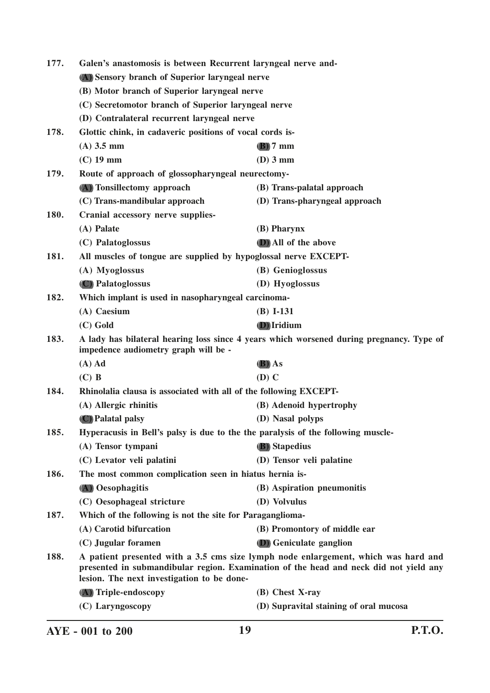| 177.                                                                                                                                     | Galen's anastomosis is between Recurrent laryngeal nerve and-                                                                                                                                                             |                                                                   |  |
|------------------------------------------------------------------------------------------------------------------------------------------|---------------------------------------------------------------------------------------------------------------------------------------------------------------------------------------------------------------------------|-------------------------------------------------------------------|--|
|                                                                                                                                          | (A) Sensory branch of Superior laryngeal nerve                                                                                                                                                                            |                                                                   |  |
|                                                                                                                                          | (B) Motor branch of Superior laryngeal nerve                                                                                                                                                                              |                                                                   |  |
|                                                                                                                                          | (C) Secretomotor branch of Superior laryngeal nerve                                                                                                                                                                       |                                                                   |  |
|                                                                                                                                          | (D) Contralateral recurrent laryngeal nerve                                                                                                                                                                               |                                                                   |  |
| 178.                                                                                                                                     | Glottic chink, in cadaveric positions of vocal cords is-                                                                                                                                                                  |                                                                   |  |
|                                                                                                                                          | $(A)$ 3.5 mm                                                                                                                                                                                                              | $(B)$ 7 mm                                                        |  |
|                                                                                                                                          | $(C)$ 19 mm                                                                                                                                                                                                               | $(D)$ 3 mm                                                        |  |
| 179.                                                                                                                                     | Route of approach of glossopharyngeal neurectomy-                                                                                                                                                                         |                                                                   |  |
|                                                                                                                                          | (A) Tonsillectomy approach                                                                                                                                                                                                | (B) Trans-palatal approach                                        |  |
|                                                                                                                                          | (C) Trans-mandibular approach                                                                                                                                                                                             | (D) Trans-pharyngeal approach                                     |  |
| 180.                                                                                                                                     | Cranial accessory nerve supplies-                                                                                                                                                                                         |                                                                   |  |
|                                                                                                                                          | (A) Palate                                                                                                                                                                                                                | (B) Pharynx                                                       |  |
|                                                                                                                                          | (C) Palatoglossus                                                                                                                                                                                                         | (D) All of the above                                              |  |
| 181.                                                                                                                                     | All muscles of tongue are supplied by hypoglossal nerve EXCEPT-                                                                                                                                                           |                                                                   |  |
|                                                                                                                                          | (A) Myoglossus                                                                                                                                                                                                            | (B) Genioglossus                                                  |  |
|                                                                                                                                          | (C) Palatoglossus                                                                                                                                                                                                         | (D) Hyoglossus                                                    |  |
| 182.                                                                                                                                     | Which implant is used in nasopharyngeal carcinoma-                                                                                                                                                                        |                                                                   |  |
|                                                                                                                                          | (A) Caesium                                                                                                                                                                                                               | $(B) I-131$                                                       |  |
|                                                                                                                                          | $(C)$ Gold                                                                                                                                                                                                                | <b>D</b> )Iridium                                                 |  |
| A lady has bilateral hearing loss since 4 years which worsened during pregnancy. Type of<br>183.<br>impedence audiometry graph will be - |                                                                                                                                                                                                                           |                                                                   |  |
|                                                                                                                                          | $(A)$ Ad                                                                                                                                                                                                                  | (B) As                                                            |  |
|                                                                                                                                          | $(C)$ B                                                                                                                                                                                                                   | $(D)$ C                                                           |  |
| 184.                                                                                                                                     |                                                                                                                                                                                                                           | Rhinolalia clausa is associated with all of the following EXCEPT- |  |
|                                                                                                                                          | (A) Allergic rhinitis                                                                                                                                                                                                     | (B) Adenoid hypertrophy                                           |  |
|                                                                                                                                          | (C) Palatal palsy                                                                                                                                                                                                         | (D) Nasal polyps                                                  |  |
| 185.                                                                                                                                     | Hyperacusis in Bell's palsy is due to the the paralysis of the following muscle-                                                                                                                                          |                                                                   |  |
|                                                                                                                                          | (A) Tensor tympani                                                                                                                                                                                                        | <b>(B)</b> Stapedius                                              |  |
|                                                                                                                                          | (C) Levator veli palatini                                                                                                                                                                                                 | (D) Tensor veli palatine                                          |  |
| 186.                                                                                                                                     | The most common complication seen in hiatus hernia is-                                                                                                                                                                    |                                                                   |  |
|                                                                                                                                          | (A) Oesophagitis                                                                                                                                                                                                          | (B) Aspiration pneumonitis                                        |  |
|                                                                                                                                          | (C) Oesophageal stricture                                                                                                                                                                                                 | (D) Volvulus                                                      |  |
| 187.                                                                                                                                     | Which of the following is not the site for Paraganglioma-                                                                                                                                                                 |                                                                   |  |
|                                                                                                                                          | (A) Carotid bifurcation                                                                                                                                                                                                   | (B) Promontory of middle ear                                      |  |
|                                                                                                                                          | (C) Jugular foramen                                                                                                                                                                                                       | <b>(D)</b> Geniculate ganglion                                    |  |
| 188.                                                                                                                                     | A patient presented with a 3.5 cms size lymph node enlargement, which was hard and<br>presented in submandibular region. Examination of the head and neck did not yield any<br>lesion. The next investigation to be done- |                                                                   |  |
|                                                                                                                                          | (A) Triple-endoscopy                                                                                                                                                                                                      | (B) Chest X-ray                                                   |  |
|                                                                                                                                          | (C) Laryngoscopy                                                                                                                                                                                                          | (D) Supravital staining of oral mucosa                            |  |

**AYE - 001 to 200 19 P.T.O.**